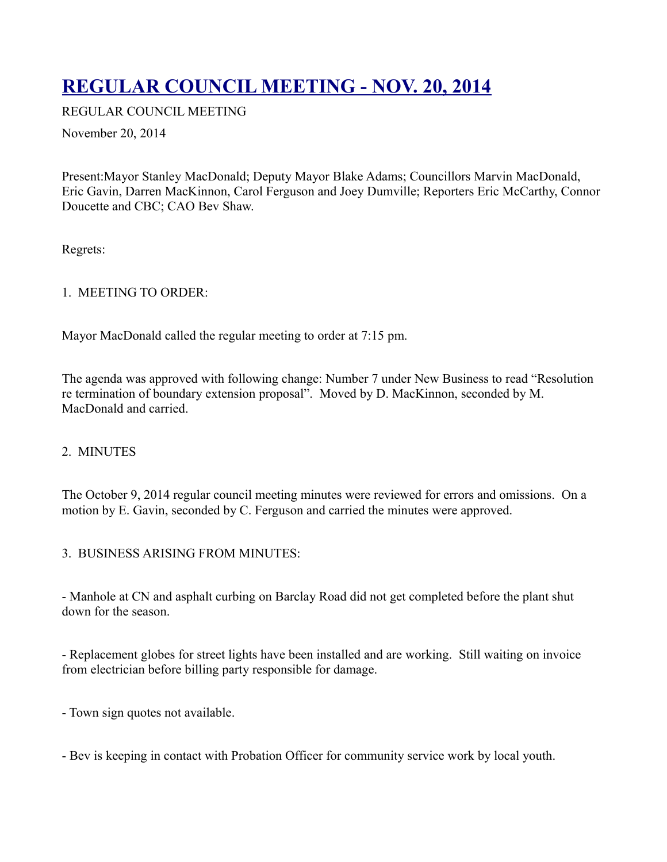# **[REGULAR COUNCIL MEETING - NOV. 20, 2014](http://townofoleary.com/index.php/council-meetings/77-regular-council-meeting-nov-20-2014)**

REGULAR COUNCIL MEETING

November 20, 2014

Present:Mayor Stanley MacDonald; Deputy Mayor Blake Adams; Councillors Marvin MacDonald, Eric Gavin, Darren MacKinnon, Carol Ferguson and Joey Dumville; Reporters Eric McCarthy, Connor Doucette and CBC; CAO Bev Shaw.

Regrets:

## 1. MEETING TO ORDER:

Mayor MacDonald called the regular meeting to order at 7:15 pm.

The agenda was approved with following change: Number 7 under New Business to read "Resolution re termination of boundary extension proposal". Moved by D. MacKinnon, seconded by M. MacDonald and carried.

# 2. MINUTES

The October 9, 2014 regular council meeting minutes were reviewed for errors and omissions. On a motion by E. Gavin, seconded by C. Ferguson and carried the minutes were approved.

#### 3. BUSINESS ARISING FROM MINUTES:

- Manhole at CN and asphalt curbing on Barclay Road did not get completed before the plant shut down for the season.

- Replacement globes for street lights have been installed and are working. Still waiting on invoice from electrician before billing party responsible for damage.

- Town sign quotes not available.

- Bev is keeping in contact with Probation Officer for community service work by local youth.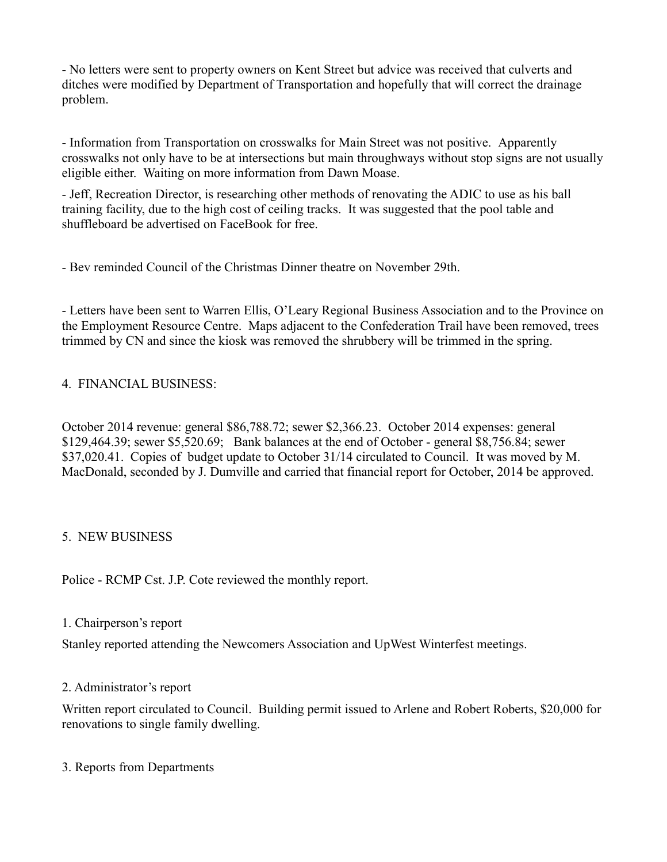- No letters were sent to property owners on Kent Street but advice was received that culverts and ditches were modified by Department of Transportation and hopefully that will correct the drainage problem.

- Information from Transportation on crosswalks for Main Street was not positive. Apparently crosswalks not only have to be at intersections but main throughways without stop signs are not usually eligible either. Waiting on more information from Dawn Moase.

- Jeff, Recreation Director, is researching other methods of renovating the ADIC to use as his ball training facility, due to the high cost of ceiling tracks. It was suggested that the pool table and shuffleboard be advertised on FaceBook for free.

- Bev reminded Council of the Christmas Dinner theatre on November 29th.

- Letters have been sent to Warren Ellis, O'Leary Regional Business Association and to the Province on the Employment Resource Centre. Maps adjacent to the Confederation Trail have been removed, trees trimmed by CN and since the kiosk was removed the shrubbery will be trimmed in the spring.

## 4. FINANCIAL BUSINESS:

October 2014 revenue: general \$86,788.72; sewer \$2,366.23. October 2014 expenses: general \$129,464.39; sewer \$5,520.69; Bank balances at the end of October - general \$8,756.84; sewer \$37,020.41. Copies of budget update to October 31/14 circulated to Council. It was moved by M. MacDonald, seconded by J. Dumville and carried that financial report for October, 2014 be approved.

#### 5. NEW BUSINESS

Police - RCMP Cst. J.P. Cote reviewed the monthly report.

#### 1. Chairperson's report

Stanley reported attending the Newcomers Association and UpWest Winterfest meetings.

#### 2. Administrator's report

Written report circulated to Council. Building permit issued to Arlene and Robert Roberts, \$20,000 for renovations to single family dwelling.

#### 3. Reports from Departments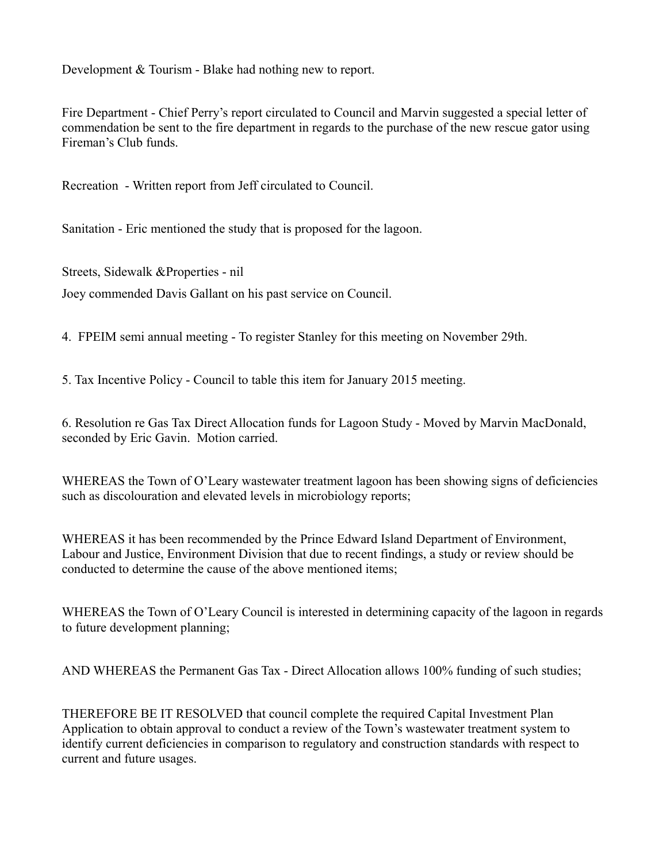Development & Tourism - Blake had nothing new to report.

Fire Department - Chief Perry's report circulated to Council and Marvin suggested a special letter of commendation be sent to the fire department in regards to the purchase of the new rescue gator using Fireman's Club funds.

Recreation - Written report from Jeff circulated to Council.

Sanitation - Eric mentioned the study that is proposed for the lagoon.

Streets, Sidewalk &Properties - nil Joey commended Davis Gallant on his past service on Council.

4. FPEIM semi annual meeting - To register Stanley for this meeting on November 29th.

5. Tax Incentive Policy - Council to table this item for January 2015 meeting.

6. Resolution re Gas Tax Direct Allocation funds for Lagoon Study - Moved by Marvin MacDonald, seconded by Eric Gavin. Motion carried.

WHEREAS the Town of O'Leary wastewater treatment lagoon has been showing signs of deficiencies such as discolouration and elevated levels in microbiology reports;

WHEREAS it has been recommended by the Prince Edward Island Department of Environment, Labour and Justice, Environment Division that due to recent findings, a study or review should be conducted to determine the cause of the above mentioned items;

WHEREAS the Town of O'Leary Council is interested in determining capacity of the lagoon in regards to future development planning;

AND WHEREAS the Permanent Gas Tax - Direct Allocation allows 100% funding of such studies;

THEREFORE BE IT RESOLVED that council complete the required Capital Investment Plan Application to obtain approval to conduct a review of the Town's wastewater treatment system to identify current deficiencies in comparison to regulatory and construction standards with respect to current and future usages.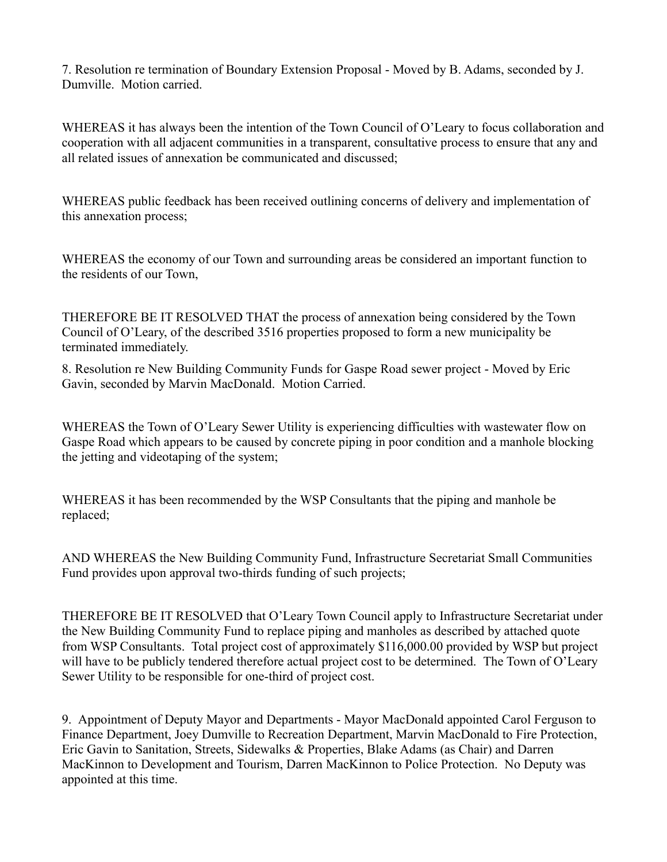7. Resolution re termination of Boundary Extension Proposal - Moved by B. Adams, seconded by J. Dumville. Motion carried.

WHEREAS it has always been the intention of the Town Council of O'Leary to focus collaboration and cooperation with all adjacent communities in a transparent, consultative process to ensure that any and all related issues of annexation be communicated and discussed;

WHEREAS public feedback has been received outlining concerns of delivery and implementation of this annexation process;

WHEREAS the economy of our Town and surrounding areas be considered an important function to the residents of our Town,

THEREFORE BE IT RESOLVED THAT the process of annexation being considered by the Town Council of O'Leary, of the described 3516 properties proposed to form a new municipality be terminated immediately.

8. Resolution re New Building Community Funds for Gaspe Road sewer project - Moved by Eric Gavin, seconded by Marvin MacDonald. Motion Carried.

WHEREAS the Town of O'Leary Sewer Utility is experiencing difficulties with wastewater flow on Gaspe Road which appears to be caused by concrete piping in poor condition and a manhole blocking the jetting and videotaping of the system;

WHEREAS it has been recommended by the WSP Consultants that the piping and manhole be replaced;

AND WHEREAS the New Building Community Fund, Infrastructure Secretariat Small Communities Fund provides upon approval two-thirds funding of such projects;

THEREFORE BE IT RESOLVED that O'Leary Town Council apply to Infrastructure Secretariat under the New Building Community Fund to replace piping and manholes as described by attached quote from WSP Consultants. Total project cost of approximately \$116,000.00 provided by WSP but project will have to be publicly tendered therefore actual project cost to be determined. The Town of O'Leary Sewer Utility to be responsible for one-third of project cost.

9. Appointment of Deputy Mayor and Departments - Mayor MacDonald appointed Carol Ferguson to Finance Department, Joey Dumville to Recreation Department, Marvin MacDonald to Fire Protection, Eric Gavin to Sanitation, Streets, Sidewalks & Properties, Blake Adams (as Chair) and Darren MacKinnon to Development and Tourism, Darren MacKinnon to Police Protection. No Deputy was appointed at this time.